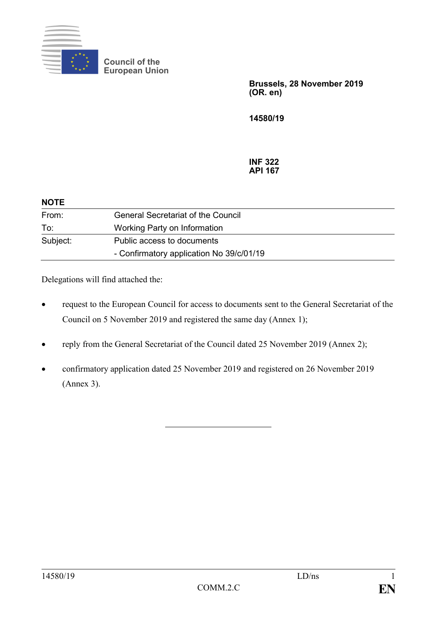

**Council of the European Union**

> **Brussels, 28 November 2019 (OR. en)**

**14580/19**

**INF 322 API 167**

| <b>NOTE</b> |                                           |
|-------------|-------------------------------------------|
| From:       | <b>General Secretariat of the Council</b> |
| To:         | Working Party on Information              |
| Subject:    | Public access to documents                |
|             | - Confirmatory application No 39/c/01/19  |

Delegations will find attached the:

- request to the European Council for access to documents sent to the General Secretariat of the Council on 5 November 2019 and registered the same day (Annex 1);
- reply from the General Secretariat of the Council dated 25 November 2019 (Annex 2);
- confirmatory application dated 25 November 2019 and registered on 26 November 2019 (Annex 3).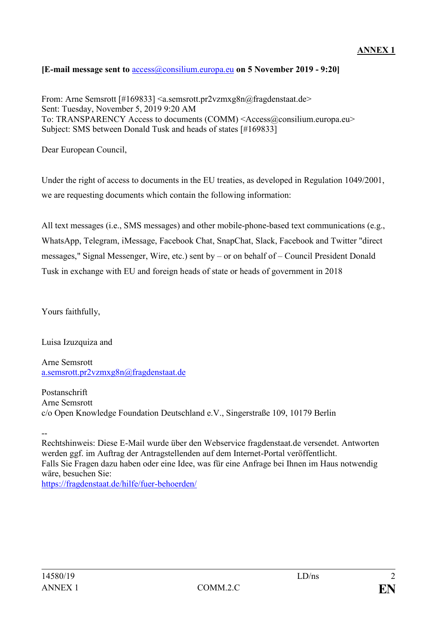## **ANNEX 1**

## **[E-mail message sent to** [access@consilium.europa.eu](mailto:access@consilium.europa.eu) **on 5 November 2019 - 9:20]**

From: Arne Semsrott [#169833] <a.semsrott.pr2vzmxg8n@fragdenstaat.de> Sent: Tuesday, November 5, 2019 9:20 AM To: TRANSPARENCY Access to documents (COMM) <Access@consilium.europa.eu> Subject: SMS between Donald Tusk and heads of states [#169833]

Dear European Council,

Under the right of access to documents in the EU treaties, as developed in Regulation 1049/2001, we are requesting documents which contain the following information:

All text messages (i.e., SMS messages) and other mobile-phone-based text communications (e.g., WhatsApp, Telegram, iMessage, Facebook Chat, SnapChat, Slack, Facebook and Twitter "direct messages," Signal Messenger, Wire, etc.) sent by – or on behalf of – Council President Donald Tusk in exchange with EU and foreign heads of state or heads of government in 2018

Yours faithfully,

Luisa Izuzquiza and

Arne Semsrott [a.semsrott.pr2vzmxg8n@fragdenstaat.de](mailto:a.semsrott.pr2vzmxg8n@fragdenstaat.de)

Postanschrift Arne Semsrott c/o Open Knowledge Foundation Deutschland e.V., Singerstraße 109, 10179 Berlin

--

Rechtshinweis: Diese E-Mail wurde über den Webservice fragdenstaat.de versendet. Antworten werden ggf. im Auftrag der Antragstellenden auf dem Internet-Portal veröffentlicht. Falls Sie Fragen dazu haben oder eine Idee, was für eine Anfrage bei Ihnen im Haus notwendig wäre, besuchen Sie:

<https://fragdenstaat.de/hilfe/fuer-behoerden/>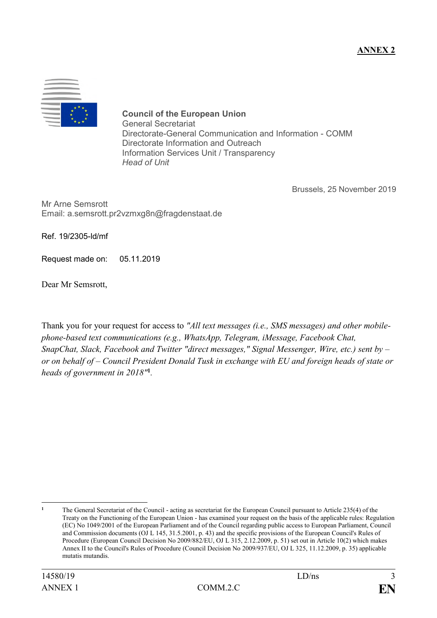

**Council of the European Union** General Secretariat Directorate-General Communication and Information - COMM Directorate Information and Outreach Information Services Unit / Transparency *Head of Unit*

Brussels, 25 November 2019

Mr Arne Semsrott Email: a.semsrott.pr2vzmxg8n@fragdenstaat.de

Ref. 19/2305-ld/mf

Request made on: 05.11.2019

Dear Mr Semsrott,

Thank you for your request for access to *"All text messages (i.e., SMS messages) and other mobilephone-based text communications (e.g., WhatsApp, Telegram, iMessage, Facebook Chat, SnapChat, Slack, Facebook and Twitter "direct messages," Signal Messenger, Wire, etc.) sent by – or on behalf of – Council President Donald Tusk in exchange with EU and foreign heads of state or heads of government in 2018"***<sup>1</sup>** *.*

 $\mathbf{1}$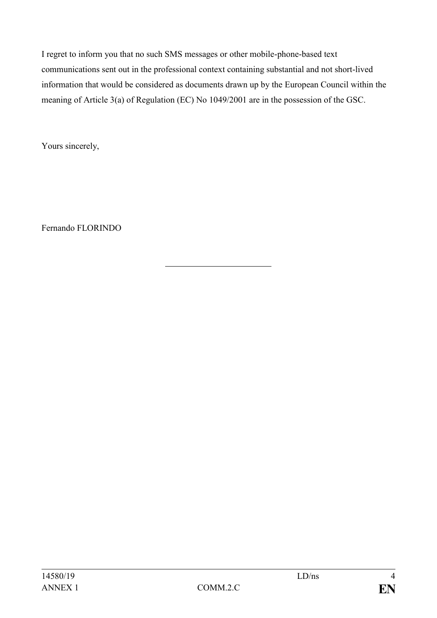I regret to inform you that no such SMS messages or other mobile-phone-based text communications sent out in the professional context containing substantial and not short-lived information that would be considered as documents drawn up by the European Council within the meaning of Article 3(a) of Regulation (EC) No 1049/2001 are in the possession of the GSC.

Yours sincerely,

Fernando FLORINDO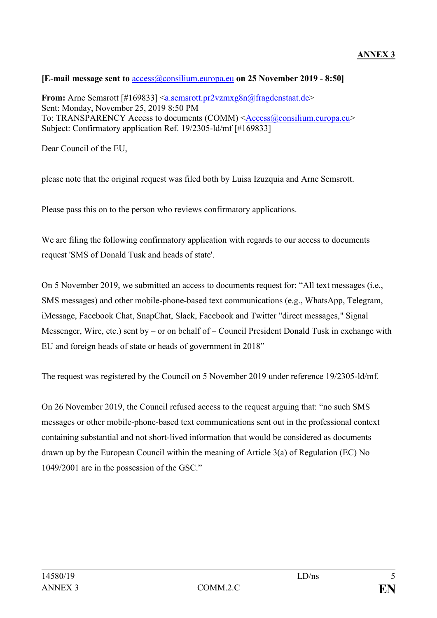## **[E-mail message sent to** [access@consilium.europa.eu](mailto:access@consilium.europa.eu) **on 25 November 2019 - 8:50]**

**From:** Arne Semsrott [#169833] <<u>a.semsrott.pr2vzmxg8n@fragdenstaat.de</u>> Sent: Monday, November 25, 2019 8:50 PM To: TRANSPARENCY Access to documents (COMM) [<Access@consilium.europa.eu>](mailto:Access@consilium.europa.eu) Subject: Confirmatory application Ref. 19/2305-ld/mf [#169833]

Dear Council of the EU,

please note that the original request was filed both by Luisa Izuzquia and Arne Semsrott.

Please pass this on to the person who reviews confirmatory applications.

We are filing the following confirmatory application with regards to our access to documents request 'SMS of Donald Tusk and heads of state'.

On 5 November 2019, we submitted an access to documents request for: "All text messages (i.e., SMS messages) and other mobile-phone-based text communications (e.g., WhatsApp, Telegram, iMessage, Facebook Chat, SnapChat, Slack, Facebook and Twitter "direct messages," Signal Messenger, Wire, etc.) sent by – or on behalf of – Council President Donald Tusk in exchange with EU and foreign heads of state or heads of government in 2018"

The request was registered by the Council on 5 November 2019 under reference 19/2305-ld/mf.

On 26 November 2019, the Council refused access to the request arguing that: "no such SMS messages or other mobile-phone-based text communications sent out in the professional context containing substantial and not short-lived information that would be considered as documents drawn up by the European Council within the meaning of Article 3(a) of Regulation (EC) No 1049/2001 are in the possession of the GSC."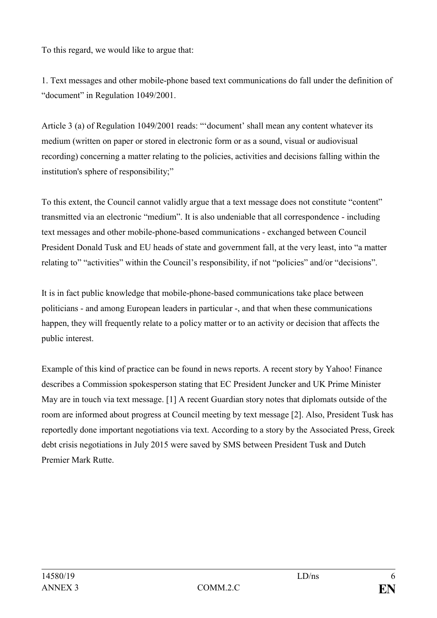To this regard, we would like to argue that:

1. Text messages and other mobile-phone based text communications do fall under the definition of "document" in Regulation 1049/2001.

Article 3 (a) of Regulation 1049/2001 reads: "'document' shall mean any content whatever its medium (written on paper or stored in electronic form or as a sound, visual or audiovisual recording) concerning a matter relating to the policies, activities and decisions falling within the institution's sphere of responsibility;"

To this extent, the Council cannot validly argue that a text message does not constitute "content" transmitted via an electronic "medium". It is also undeniable that all correspondence - including text messages and other mobile-phone-based communications - exchanged between Council President Donald Tusk and EU heads of state and government fall, at the very least, into "a matter relating to" "activities" within the Council's responsibility, if not "policies" and/or "decisions".

It is in fact public knowledge that mobile-phone-based communications take place between politicians - and among European leaders in particular -, and that when these communications happen, they will frequently relate to a policy matter or to an activity or decision that affects the public interest.

Example of this kind of practice can be found in news reports. A recent story by Yahoo! Finance describes a Commission spokesperson stating that EC President Juncker and UK Prime Minister May are in touch via text message. [1] A recent Guardian story notes that diplomats outside of the room are informed about progress at Council meeting by text message [2]. Also, President Tusk has reportedly done important negotiations via text. According to a story by the Associated Press, Greek debt crisis negotiations in July 2015 were saved by SMS between President Tusk and Dutch Premier Mark Rutte.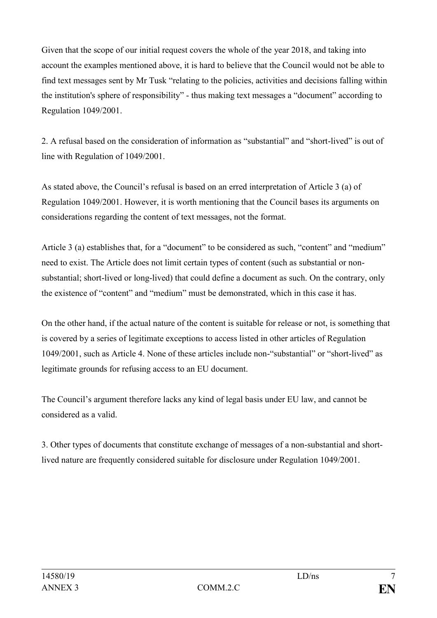Given that the scope of our initial request covers the whole of the year 2018, and taking into account the examples mentioned above, it is hard to believe that the Council would not be able to find text messages sent by Mr Tusk "relating to the policies, activities and decisions falling within the institution's sphere of responsibility" - thus making text messages a "document" according to Regulation 1049/2001.

2. A refusal based on the consideration of information as "substantial" and "short-lived" is out of line with Regulation of 1049/2001.

As stated above, the Council's refusal is based on an erred interpretation of Article 3 (a) of Regulation 1049/2001. However, it is worth mentioning that the Council bases its arguments on considerations regarding the content of text messages, not the format.

Article 3 (a) establishes that, for a "document" to be considered as such, "content" and "medium" need to exist. The Article does not limit certain types of content (such as substantial or nonsubstantial; short-lived or long-lived) that could define a document as such. On the contrary, only the existence of "content" and "medium" must be demonstrated, which in this case it has.

On the other hand, if the actual nature of the content is suitable for release or not, is something that is covered by a series of legitimate exceptions to access listed in other articles of Regulation 1049/2001, such as Article 4. None of these articles include non-"substantial" or "short-lived" as legitimate grounds for refusing access to an EU document.

The Council's argument therefore lacks any kind of legal basis under EU law, and cannot be considered as a valid.

3. Other types of documents that constitute exchange of messages of a non-substantial and shortlived nature are frequently considered suitable for disclosure under Regulation 1049/2001.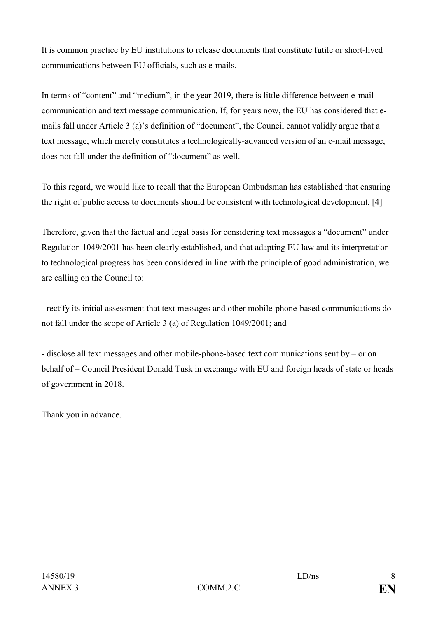It is common practice by EU institutions to release documents that constitute futile or short-lived communications between EU officials, such as e-mails.

In terms of "content" and "medium", in the year 2019, there is little difference between e-mail communication and text message communication. If, for years now, the EU has considered that emails fall under Article 3 (a)'s definition of "document", the Council cannot validly argue that a text message, which merely constitutes a technologically-advanced version of an e-mail message, does not fall under the definition of "document" as well.

To this regard, we would like to recall that the European Ombudsman has established that ensuring the right of public access to documents should be consistent with technological development. [4]

Therefore, given that the factual and legal basis for considering text messages a "document" under Regulation 1049/2001 has been clearly established, and that adapting EU law and its interpretation to technological progress has been considered in line with the principle of good administration, we are calling on the Council to:

- rectify its initial assessment that text messages and other mobile-phone-based communications do not fall under the scope of Article 3 (a) of Regulation 1049/2001; and

- disclose all text messages and other mobile-phone-based text communications sent by – or on behalf of – Council President Donald Tusk in exchange with EU and foreign heads of state or heads of government in 2018.

Thank you in advance.